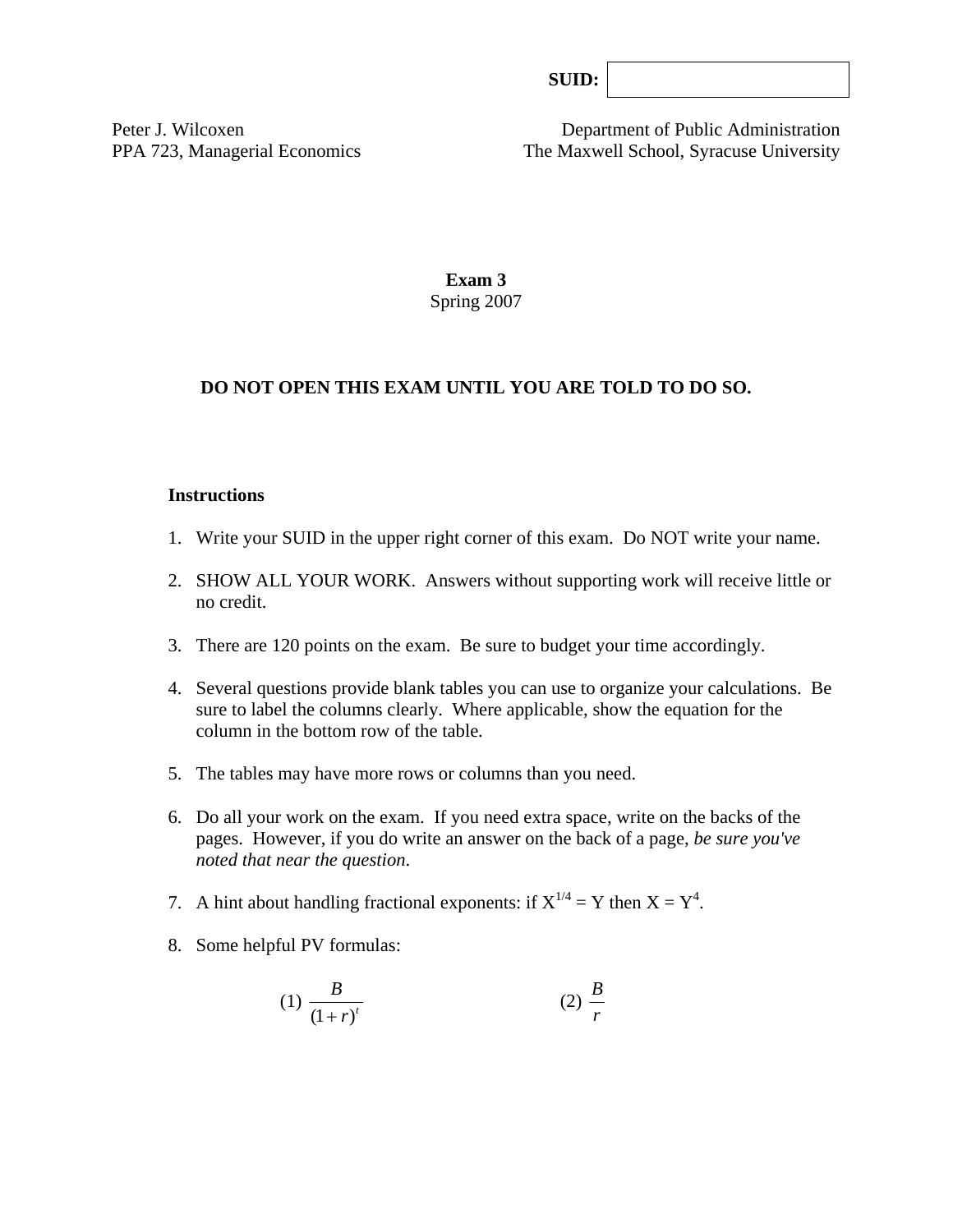| SUB: |
|------|
|      |

Peter J. Wilcoxen Department of Public Administration PPA 723, Managerial Economics The Maxwell School, Syracuse University

> **Exam 3**  Spring 2007

#### **DO NOT OPEN THIS EXAM UNTIL YOU ARE TOLD TO DO SO.**

#### **Instructions**

- 1. Write your SUID in the upper right corner of this exam. Do NOT write your name.
- 2. SHOW ALL YOUR WORK. Answers without supporting work will receive little or no credit.
- 3. There are 120 points on the exam. Be sure to budget your time accordingly.
- 4. Several questions provide blank tables you can use to organize your calculations. Be sure to label the columns clearly. Where applicable, show the equation for the column in the bottom row of the table*.*
- 5. The tables may have more rows or columns than you need.
- 6. Do all your work on the exam. If you need extra space, write on the backs of the pages. However, if you do write an answer on the back of a page, *be sure you've noted that near the question*.
- 7. A hint about handling fractional exponents: if  $X^{1/4} = Y$  then  $X = Y^4$ .
- 8. Some helpful PV formulas:

$$
(1) \frac{B}{\left(1+r\right)^{t}} \tag{2} \frac{B}{r}
$$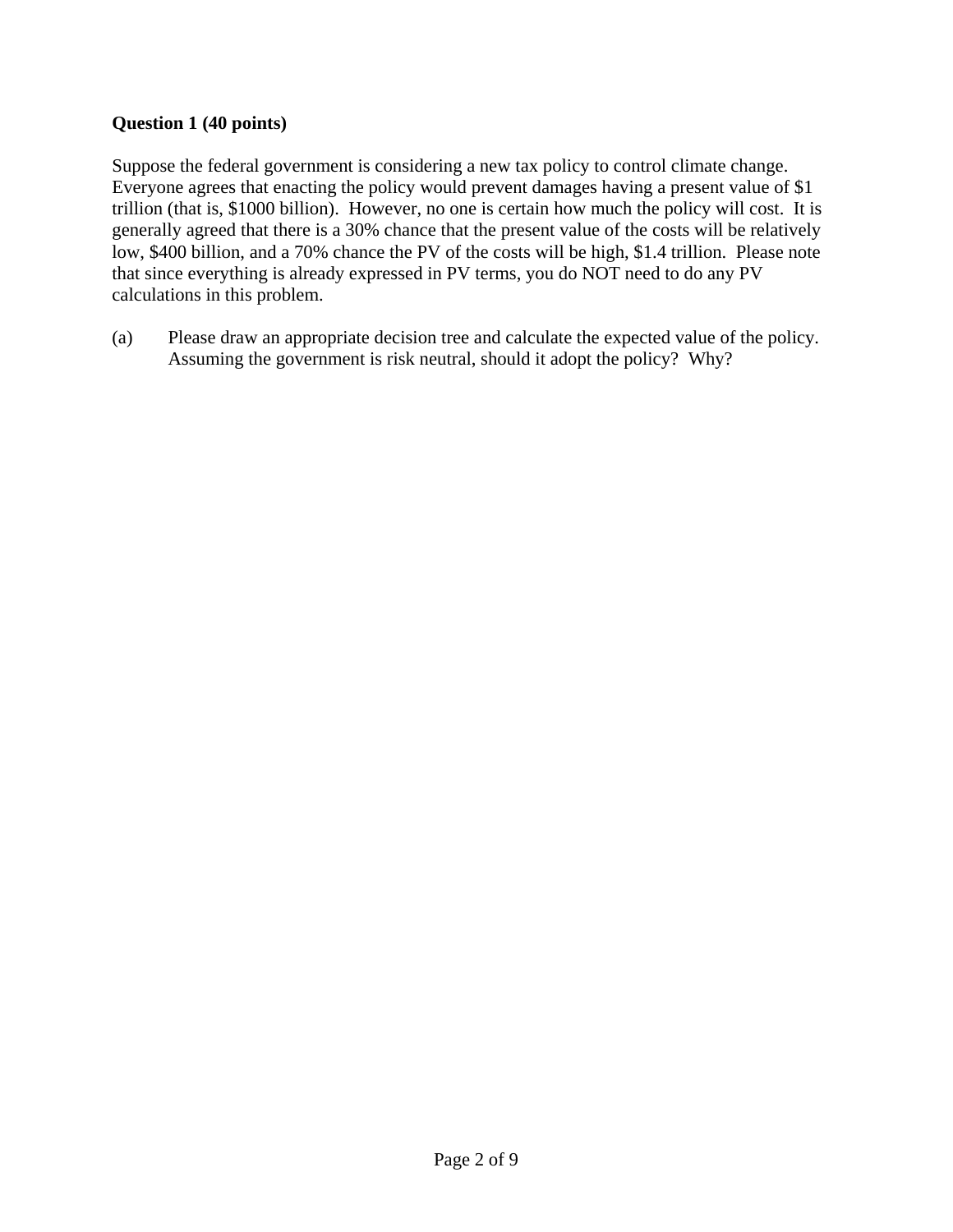## **Question 1 (40 points)**

Suppose the federal government is considering a new tax policy to control climate change. Everyone agrees that enacting the policy would prevent damages having a present value of \$1 trillion (that is, \$1000 billion). However, no one is certain how much the policy will cost. It is generally agreed that there is a 30% chance that the present value of the costs will be relatively low, \$400 billion, and a 70% chance the PV of the costs will be high, \$1.4 trillion. Please note that since everything is already expressed in PV terms, you do NOT need to do any PV calculations in this problem.

(a) Please draw an appropriate decision tree and calculate the expected value of the policy. Assuming the government is risk neutral, should it adopt the policy? Why?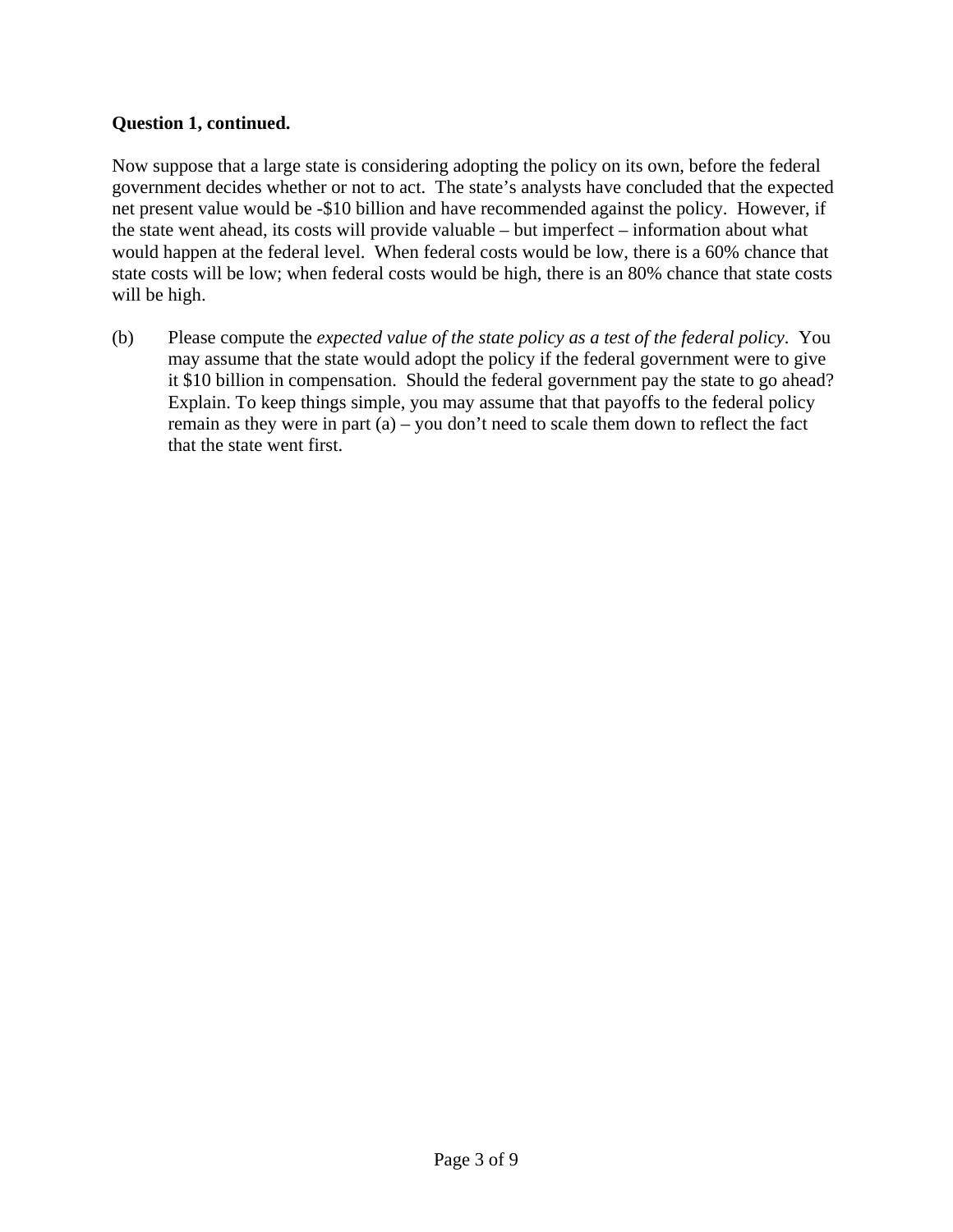#### **Question 1, continued.**

Now suppose that a large state is considering adopting the policy on its own, before the federal government decides whether or not to act. The state's analysts have concluded that the expected net present value would be -\$10 billion and have recommended against the policy. However, if the state went ahead, its costs will provide valuable – but imperfect – information about what would happen at the federal level. When federal costs would be low, there is a 60% chance that state costs will be low; when federal costs would be high, there is an 80% chance that state costs will be high.

(b) Please compute the *expected value of the state policy as a test of the federal policy*. You may assume that the state would adopt the policy if the federal government were to give it \$10 billion in compensation. Should the federal government pay the state to go ahead? Explain. To keep things simple, you may assume that that payoffs to the federal policy remain as they were in part (a) – you don't need to scale them down to reflect the fact that the state went first.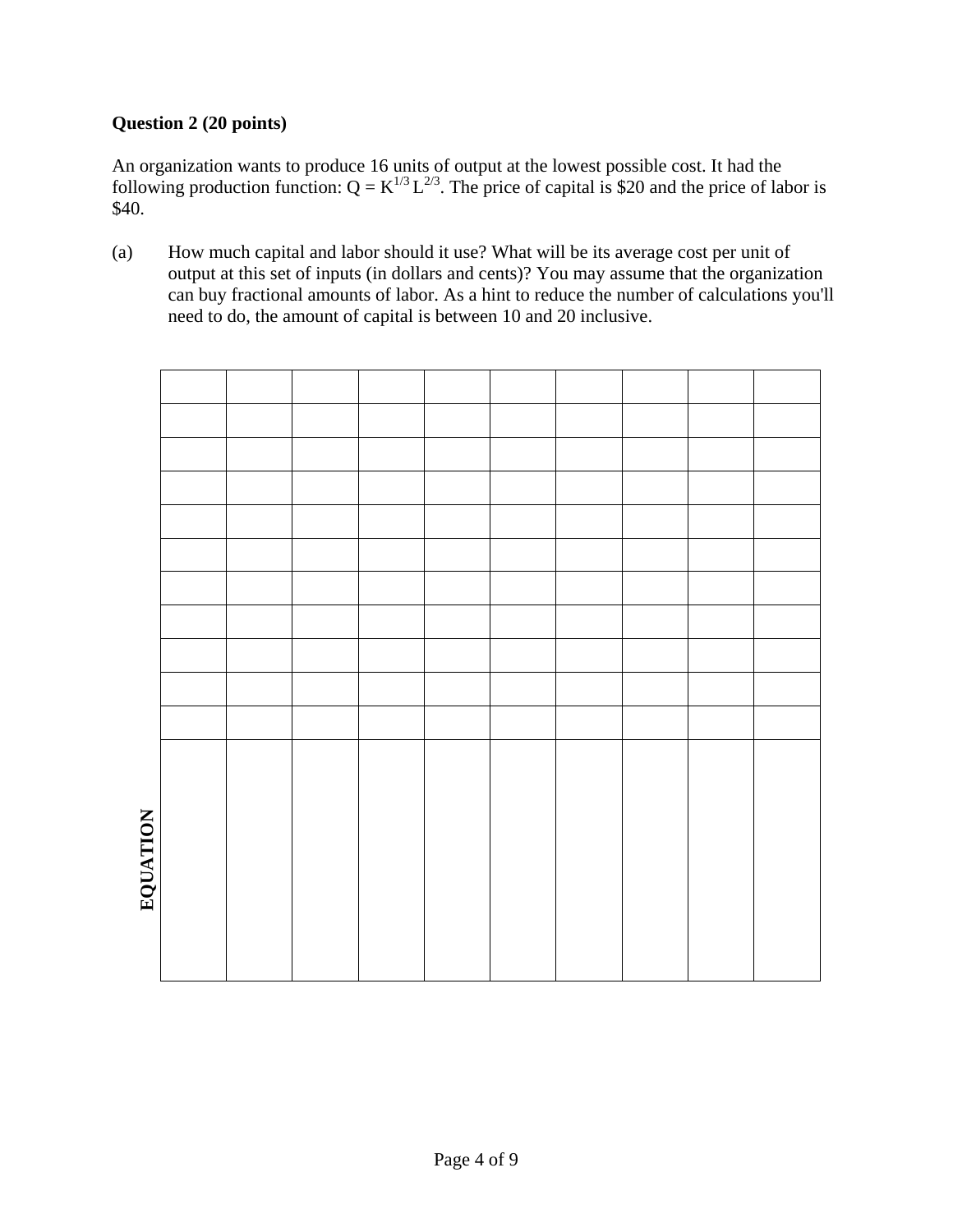## **Question 2 (20 points)**

An organization wants to produce 16 units of output at the lowest possible cost. It had the following production function:  $Q = K^{1/3} L^{2/3}$ . The price of capital is \$20 and the price of labor is \$40.

(a) How much capital and labor should it use? What will be its average cost per unit of output at this set of inputs (in dollars and cents)? You may assume that the organization can buy fractional amounts of labor. As a hint to reduce the number of calculations you'll need to do, the amount of capital is between 10 and 20 inclusive.

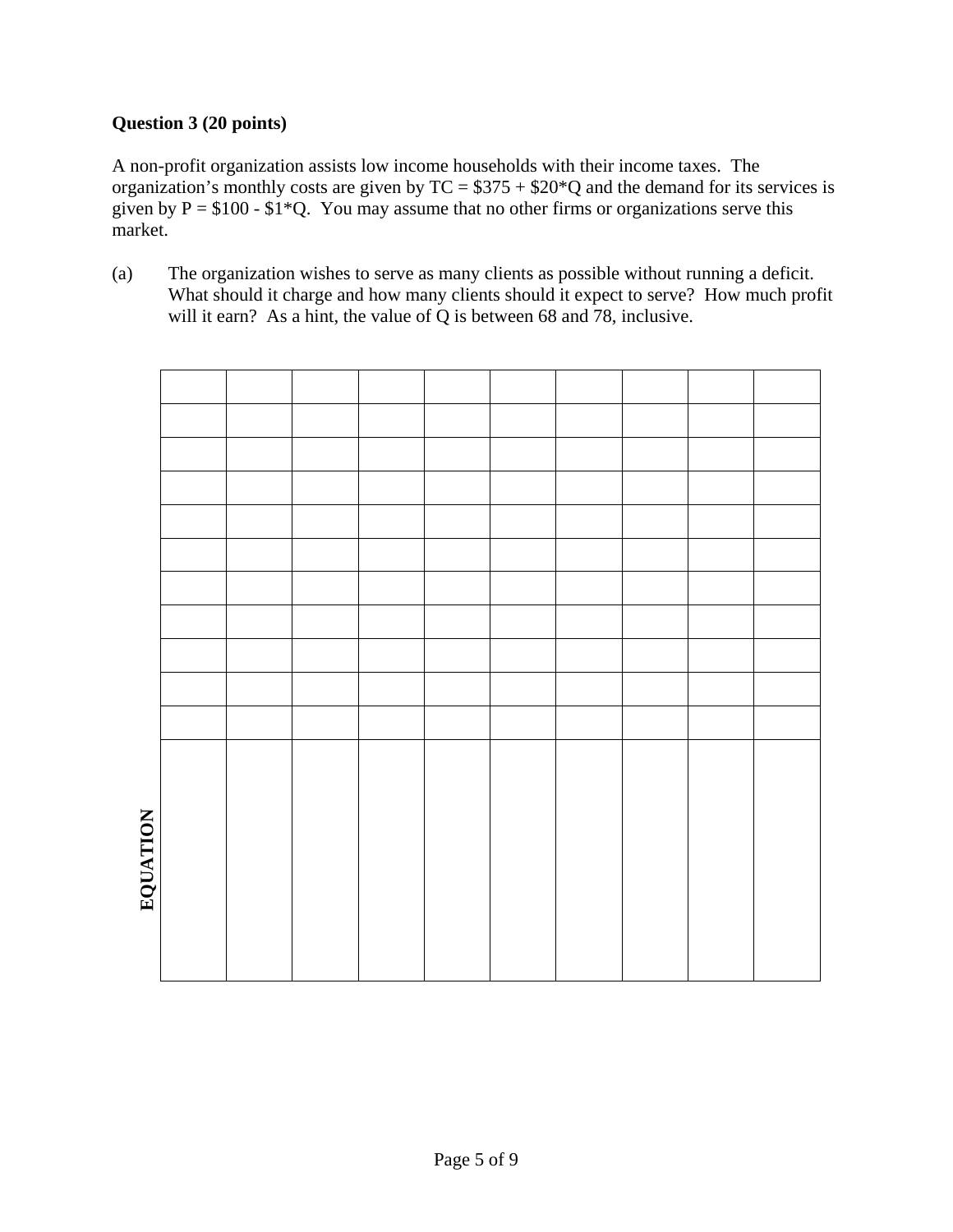## **Question 3 (20 points)**

A non-profit organization assists low income households with their income taxes. The organization's monthly costs are given by  $TC = $375 + $20<sup>*</sup>Q$  and the demand for its services is given by  $P = $100 - $1*Q$ . You may assume that no other firms or organizations serve this market.

(a) The organization wishes to serve as many clients as possible without running a deficit. What should it charge and how many clients should it expect to serve? How much profit will it earn? As a hint, the value of Q is between 68 and 78, inclusive.

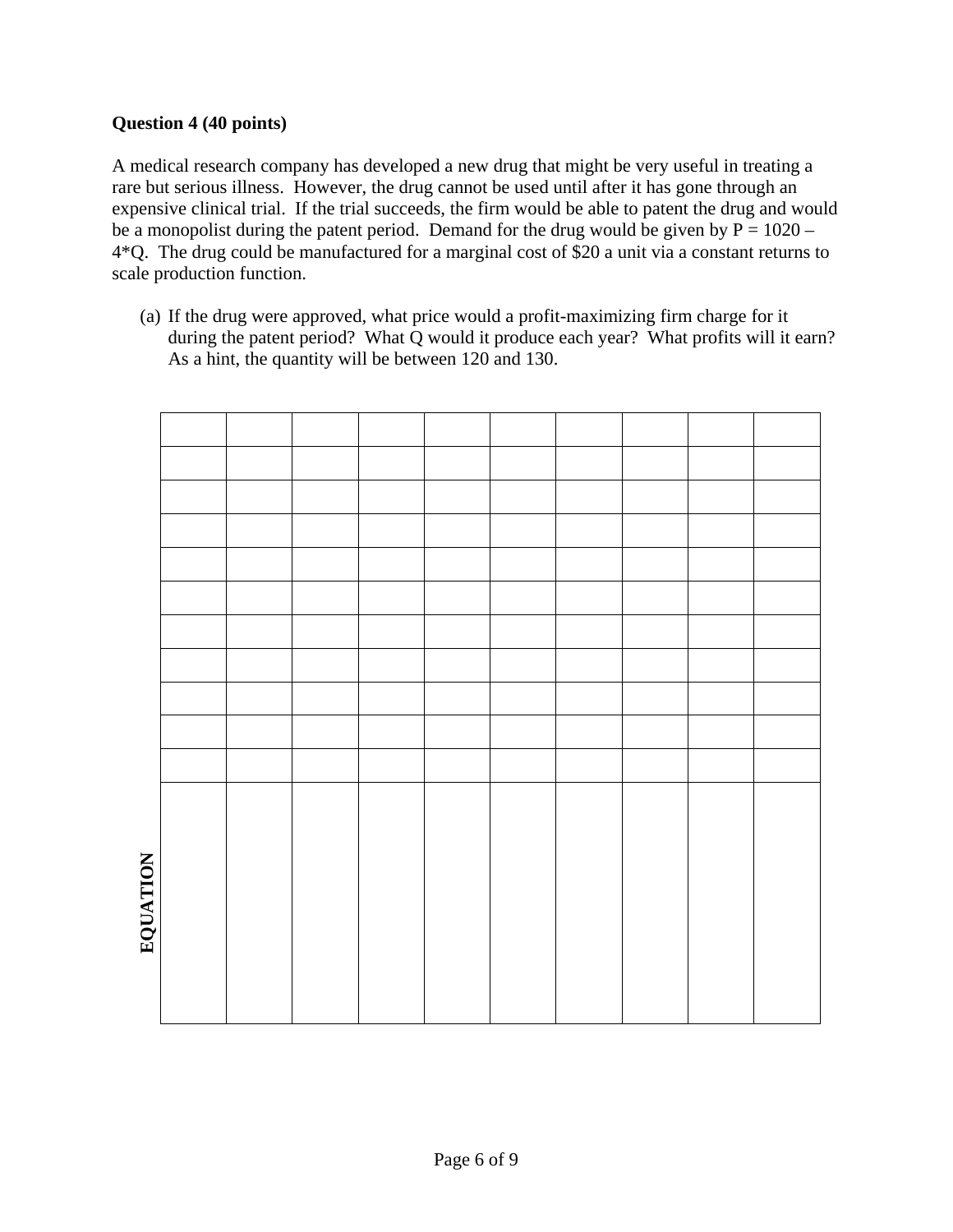## **Question 4 (40 points)**

A medical research company has developed a new drug that might be very useful in treating a rare but serious illness. However, the drug cannot be used until after it has gone through an expensive clinical trial. If the trial succeeds, the firm would be able to patent the drug and would be a monopolist during the patent period. Demand for the drug would be given by  $P = 1020 -$ 4\*Q. The drug could be manufactured for a marginal cost of \$20 a unit via a constant returns to scale production function.

(a) If the drug were approved, what price would a profit-maximizing firm charge for it during the patent period? What Q would it produce each year? What profits will it earn? As a hint, the quantity will be between 120 and 130.

| <b>NATIVITY</b> |  |  |  |  |  |
|-----------------|--|--|--|--|--|
|                 |  |  |  |  |  |
|                 |  |  |  |  |  |
|                 |  |  |  |  |  |
|                 |  |  |  |  |  |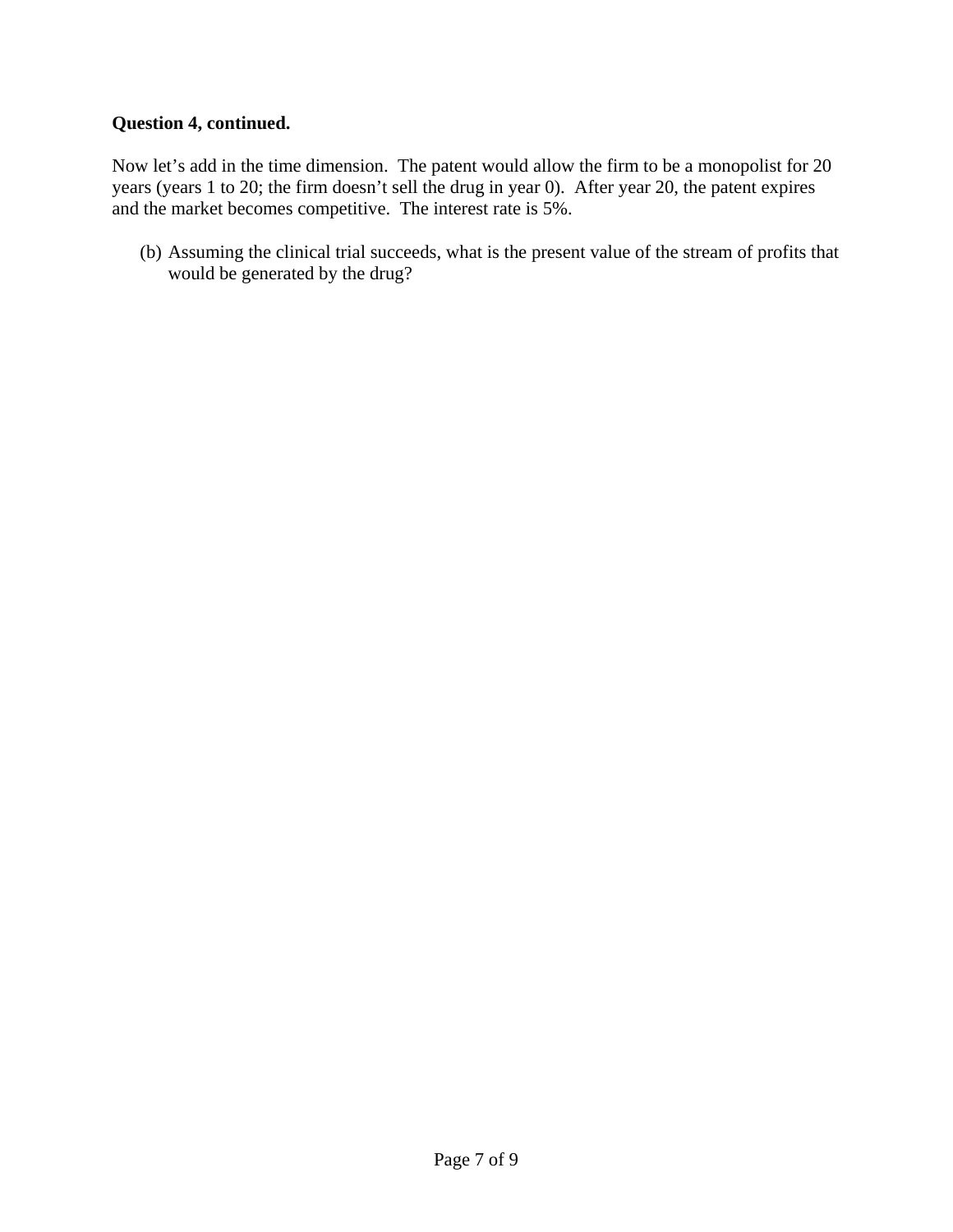### **Question 4, continued.**

Now let's add in the time dimension. The patent would allow the firm to be a monopolist for 20 years (years 1 to 20; the firm doesn't sell the drug in year 0). After year 20, the patent expires and the market becomes competitive. The interest rate is 5%.

(b) Assuming the clinical trial succeeds, what is the present value of the stream of profits that would be generated by the drug?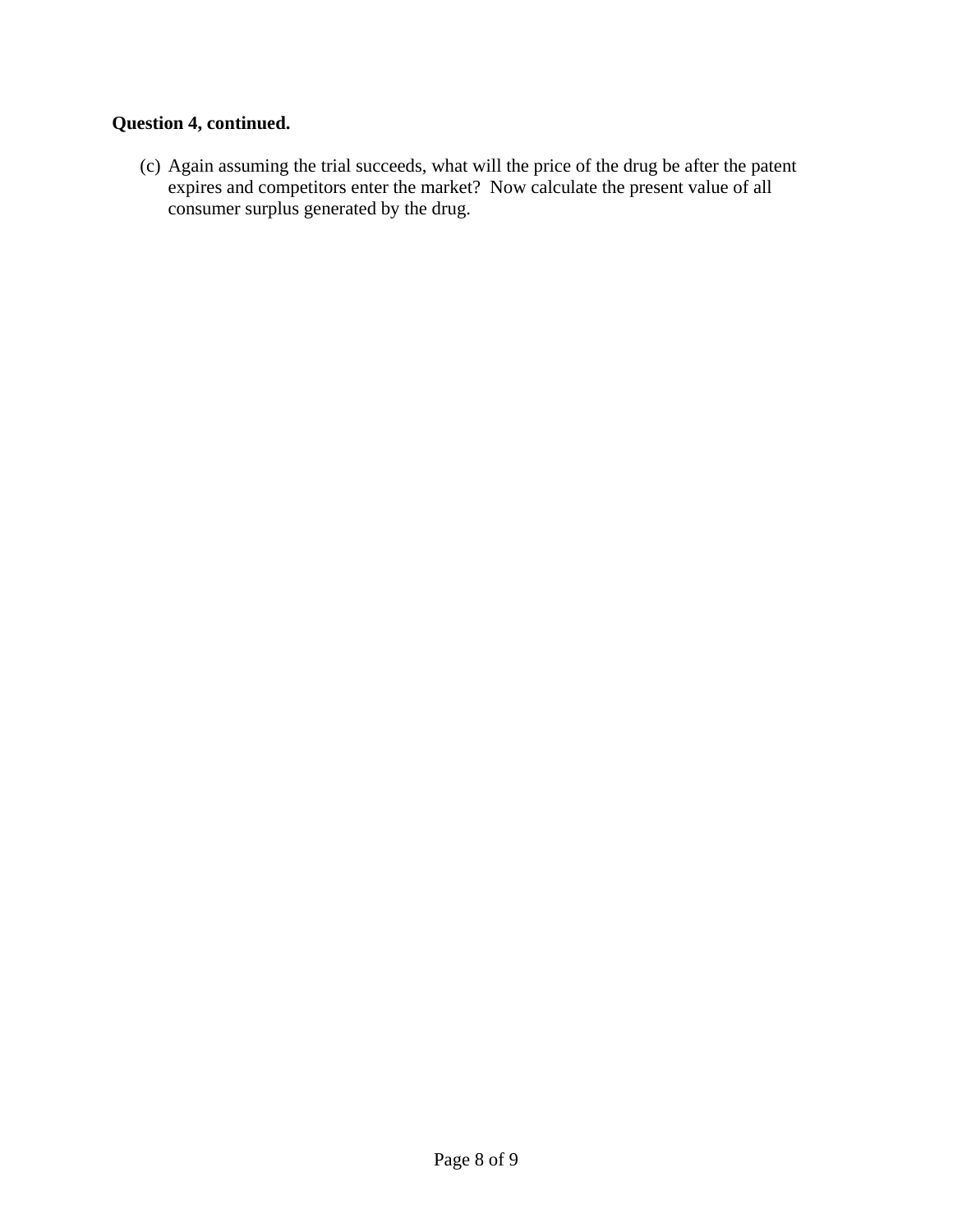# **Question 4, continued.**

(c) Again assuming the trial succeeds, what will the price of the drug be after the patent expires and competitors enter the market? Now calculate the present value of all consumer surplus generated by the drug.